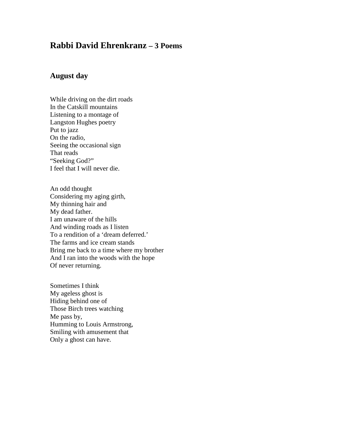## **Rabbi David Ehrenkranz – 3 Poems**

## **August day**

While driving on the dirt roads In the Catskill mountains Listening to a montage of Langston Hughes poetry Put to jazz On the radio, Seeing the occasional sign That reads "Seeking God?" I feel that I will never die.

An odd thought Considering my aging girth, My thinning hair and My dead father. I am unaware of the hills And winding roads as I listen To a rendition of a 'dream deferred.' The farms and ice cream stands Bring me back to a time where my brother And I ran into the woods with the hope Of never returning.

Sometimes I think My ageless ghost is Hiding behind one of Those Birch trees watching Me pass by, Humming to Louis Armstrong, Smiling with amusement that Only a ghost can have.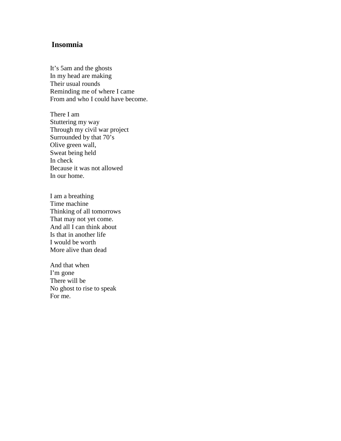## **Insomnia**

It's 5am and the ghosts In my head are making Their usual rounds Reminding me of where I came From and who I could have become.

There I am Stuttering my way Through my civil war project Surrounded by that 70's Olive green wall, Sweat being held In check Because it was not allowed In our home.

I am a breathing Time machine Thinking of all tomorrows That may not yet come. And all I can think about Is that in another life I would be worth More alive than dead

And that when I'm gone There will be No ghost to rise to speak For me.